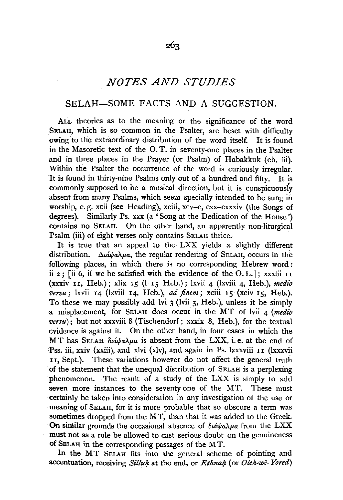# *NOTES AND STUDIES*

# SELAH-SOME FACTS AND A SUGGESTION.

ALL theories as to the meaning or the significance of the word SELAH, which is so common in the Psalter, are beset with difficulty owing to the extraordinary distribution of the word itself. It is found in the Masoretic text of the 0. T. in seventy-one places in the Psalter and in three places in the Prayer (or Psalm) of Habakkuk (eh. iii). Within the Psalter the occurrence of the word is curiously irregular. It is found in thirty-nine Psalms only out of a hundred and fifty. It is commonly supposed to be a musical direction, but it is conspicuousiy absent from many Psalms, which seem specially intended to be sung in worship, e. g. xcii (see Heading), xciii, xcv-c, cxx-cxxxiv (the Songs of degrees). Similarly Ps. xxx (a' Song at the Dedication of the House') contains no SELAH. On the other hand, an apparently non-liturgical Psalm (iii) of eight verses only contains SELAH thrice.

It is true that an appeal to the LXX yields a slightly different distribution.  $\Delta \iota \dot{\alpha} \psi a \lambda \mu a$ , the regular rendering of SELAH, occurs in the following places, in which there is no corresponding Hebrew word : ii 2; [ii 6, if we be satisfied with the evidence of the  $0.L.]$ ; xxxiii  $11$ (xxxiv 11, Heb.); xlix J5 (I 15 Heb.); lxvii 4 (lxviii 4, Heb.), *medi'o versu;* lxvii I4 (lxviii I4, Heb.), *ad jinem;* xciii I5 (xciv I5, Heb.). To these we may possibly add lvi 3 (lvii 3, Heb.), unless it be simply a misplacement, for SELAH does occur in the MT of lvii 4 (medio  $versu)$ ; but not xxxviii 8 (Tischendorf; xxxix 8, Heb.), for the textual evidence is against it. On the other hand, in four cases in which the M T has SELAH  $\delta u \dot{\alpha} \nu \alpha \lambda \mu a$  is absent from the LXX, i.e. at the end of Pss. iii, xxiv (xxiii), and xlvi (xlv), and again in Ps. lxxxviii 11 (lxxxvii 11, Sept.). These variations however do not affect the general truth ·of the statement that the unequal distribution of SELAH is a perplexing phenomenon. The result of a study of the LXX is simply to add seven more instances to the seventy-one of the MT. These must certainly be taken into consideration in any investigation of the use or •meaning of SELAH, for it is more probable that so obscure a term was sometimes dropped from the MT, than that it was added to the Greek. <sup>•</sup>On similar grounds the occasional absence of διάψαλμα from the LXX must not as a rule be allowed to cast serious doubt on the genuineness of SELAH in the corresponding passages of the MT.

In the MT SELAH fits into the general scheme of pointing and accentuation, receiving *Silluk* at the end, or *Ethnah* (or *Oleh-we-Yored*)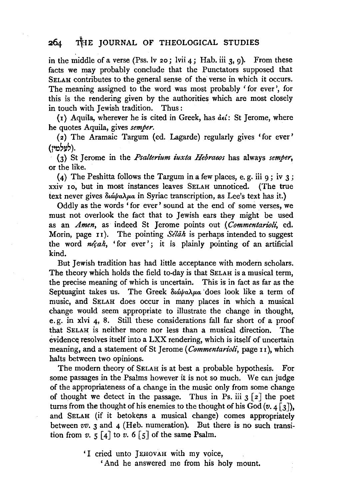# 264 THE JOURNAL OF THEOLOGICAL STUDIES

in the middle of a verse (Pss. lv 20; lvii 4; Hab. iii 3, 9). From these facts we may probably conclude that the Punctators supposed that SELAH contributes to the general sense of the verse in which it occurs. The meaning assigned to the word was most probably ' for ever', for this is the rendering given by the authorities which are most closely in touch with Jewish tradition. Thus :

(1) Aquila, wherever he is cited in Greek, has  $\det$ : St Jerome, where he quotes Aquila, gives *semper.* 

( 2) The Aramaic Targum ( ed. Lagarde) regularly gives 'for ever' (לעלמיז).

(3) St Jerome in the *Psalterium iuxta Hebraeos* has always *semper*, or the like.

(4) The Peshitta follows the Targum in a few places, e.g. iii  $q$ ; iv 3; xxiv Io, but in most instances leaves SELAH unnoticed. (The true text never gives διάψαλμα in Syriac transcription, as Lee's text has it.)

Oddly as the words 'for ever' sound at the end of some verses, we must not overlook the fact that to Jewish ears they might be used as an *Amen*, as indeed St Jerome points out (Commentarioli, ed. Morin, page  $I1$ ). The pointing Selah is perhaps intended to suggest the word *necah*, 'for ever'; it is plainly pointing of an artificial kind.

But Jewish tradition has had little acceptance with modern scholars. The theory which holds the field to-day is that SELAH is a musical term, the precise meaning of which is uncertain. This is in fact as far as the Septuagint takes us. The Greek  $\delta \iota \acute{a} \psi a \lambda \mu a$  does look like a term of music, and SELAH does occur in many places in which a musical change would seem appropriate to illustrate the change in thought, e. g. in xlvi 4, 8. Still these considerations fall far short of a proof that SELAH is neither more nor less than a musical direction. The evidence resolves itself into a LXX rendering, which is itself of uncertain meaning, and a statement of St Jerome (*Commentarioli*, page 11), which halts between two opinions.

The modern theory of SELAH is at best a probable hypothesis. For some passages in the Psalms however it is not so much. We can judge of the appropriateness of a change in the music only from some change of thought we detect in the passage. Thus in Ps. iii  $3 \lceil 2 \rceil$  the poet turns from the thought of his enemies to the thought of his God  $(v. 4 \lceil 3 \rceil)$ , and SELAH (if it betokens a musical change) comes appropriately between *vv.* 3 and 4 (Heb. numeration). But there is no such transition from  $v. 5 \lceil 4 \rceil$  to  $v. 6 \lceil 5 \rceil$  of the same Psalm.

'I cried unto ]EHOVAH with my voice,

'And he answered me from his holy mount.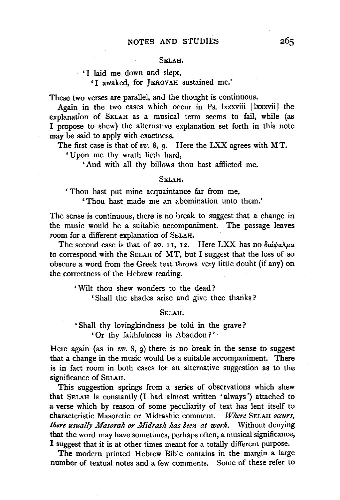#### SELAH.

### 'I laid me down and slept, 'I awaked, for JEHOVAH sustained me.'

These two verses are parallel, and the thought is continuous.

Again in the two cases which occur in Ps. lxxxviii [lxxxvii] the explanation of SELAH as a musical term seems to fail, while (as I propose to shew) the alternative explanation set forth in this note may be said to apply with exactness.

The first case is that of *vv.* 8, 9. Here the LXX agrees with MT.

'Upon me thy wrath lieth hard,

'And with all thy billows thou hast afflicted me.

#### SELAH.

' Thou hast put mine acquaintance far from me,

'Thou hast made me an abomination unto them.'

The sense is continuous, there is no break to suggest that a change in the music would be a suitable accompaniment. The passage leaves room for a different explanation of SELAH.

The second case is that of  $vv$ . 11, 12. Here LXX has no  $\delta \iota \iota \iota \iota \iota \lambda \mu a$ to correspond with the SELAH of MT, but I suggest that the loss of so obscure a word from the Greek text throws very little doubt (if any) on the correctness of the Hebrew reading.

' Wilt thou shew wonders to the dead?

' Shall the shades arise and give thee thanks?

SELAH.

'Shall thy lovingkindness be told in the grave? ' Or thy faithfulness in Abaddon ? '

Here again (as in  $vv$ . 8, 9) there is no break in the sense to suggest that a change in the music would be a suitable accompaniment. There is in fact room in both cases for an alternative suggestion as to the significance of SELAH.

This suggestion springs from a series of observations which shew that SELAH is constantly (I had almost written 'always') attached to a verse which by reason of some peculiarity of text has lent itself to characteristic Masoretic or Midrashic comment. Where SELAH occurs, characteristic Masoretic or Midrashic comment. *there usually Masorah or Midrash has been at work.* Without denying that the word may have sometimes, perhaps often, a musical significance, I suggest that it is at other times meant for a totally different purpose.

The modern printed Hebrew Bible contains in the margin a large number of textual notes and a few comments. Some of these refer to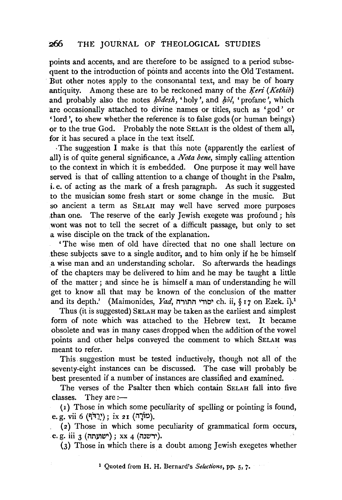## .266 THE JOURNAL OF THEOLOGICAL STUDIES

points and accents, and are therefore to be assigned to a period subsequent to the introduction of points and accents into the Old Testament. But other notes apply to the consonantal text, and may be of hoary antiquity. Among these are to be reckoned many of the *Keri (Kethib)* and probably also the notes *kodesh*, 'holy', and *hol*, 'profane', which are occasionally attached to divine names or titles, such as 'god' or 'lord', to shew whether the reference is to false gods (or human beings) or to the true God. Probably the note SELAH is the oldest of them all, for it has secured a place in the text itself.

·The suggestion I make is that this note (apparently the earliest of all) is of quite general significance, a *Nota bene,* simply calling attention to the context in which it is embedded. One purpose it may well have served is that of calling attention to a change of thought in the Psalm, i.e. of acting as the mark of a fresh paragraph. As such it suggested to the musician some fresh start or some change in the music. But so ancient a term as SELAH may well have served more purposes ,than one. The reserve of the early Jewish exegete was profound; his wont was not to tell the secret of a difficult passage, but only to set a wise disciple on the track of the explanation.

'The wise men of old have directed that no one shall lecture on these subjects save to a single auditor, and to him only if he be himself a wise man and an understanding scholar. So afterwards the headings of the chapters may be delivered to him and he may be taught a little of the matter ; and since he is himself a man of understanding he will get to know all that may be known of the conclusion of the matter and its depth.' (Maimonides, Yad, יסודי התורה ch. ii, § 17 on Ezek. i).<sup>1</sup>

Thus (it is suggested) SELAH may be taken as the earliest and simplest form of note which was attached to the Hebrew text. It became obsolete and was in many cases dropped when the addition of the vowel points and other helps conveyed the comment to which SELAH was meant to refer.

This. suggestion must be tested inductively, though not all of the seventy-eight instances can be discussed. The case will probably be best presented if a number of instances are classified and examined.

The verses of the Psalter then which contain SELAH fall into five classes. They are :-

( 1) Those in which some peculiarity of spelling or pointing is found, e. g. vii 6 (יְרַדֹּף); ix 21 (מוֹרָה).

(2) Those in which some peculiarity of grammatical form occurs, e. g. iii 3 (ידשנה); xx 4 (ידשנה).

(3) Those in which there is a doubt among Jewish exegetes whether

<sup>1</sup> Quoted from H. H. Bernard's *Selections,* pp. 5, 7•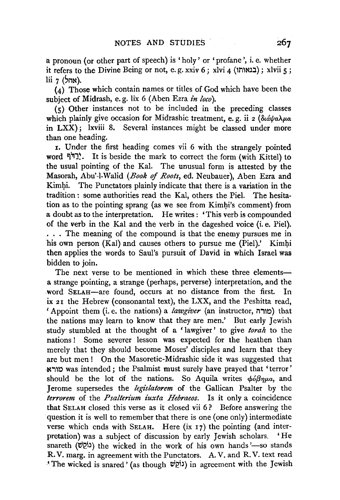a pronoun (or other part of speech) is 'holy' or 'profane', i.e. whether  $i$ it refers to the Divine Being or not, e.g. xxiv 6; xlvi 4 (בנאותו); xlvii 5;  $\overline{\text{li}}$  7 (אהל).

 $(4)$  Those which contain names or titles of God which have been the subject of Midrash, e. g. lix 6 (Aben Ezra *in loco).* 

 $(s)$  Other instances not to be included in the preceding classes which plainly give occasion for Midrashic treatment, e.g. ii 2 ( $\delta u \dot{a} \psi a \lambda \mu a$ ) in LXX) ; lxviii 8. Several instances might be classed under more than one heading.

r. Under the first heading comes vii 6 with the strangely pointed word ~1:J1~. It is beside the mark to correct the form (with Kittel) to the usual pointing of the Kal. The unusual form is attested by the Masorah, Abu'-1-Walid *(Book* of *Roots,* ed. Neubauer), Aben Ezra and Kimhi. The Punctators plainly indicate that there is a variation in the tradition : some authorities read the Kal, others the Piel. The hesitation as to the pointing sprang (as we see from Kimhi's comment) from a doubt as to the interpretation. He writes : 'This verb is compounded of the verb in the Kal and the verb in the dageshed voice (i.e. Piel). . . . The meaning of the compound is that the enemy pursues me in his own person (Kal) and causes others to pursue me (Piel).' Kimhi then applies the words to Saul's pursuit of David in which Israel was bidden to join.

The next verse to be mentioned in which these three elementsa strange pointing, a strange (perhaps, perverse) interpretation, and the word SELAH-are found, occurs at no distance from the first. In ix 21 the Hebrew (consonantal text), the LXX, and the Peshitta read; 'Appoint them (i.e. the nations) a *lawgiver* (an instructor, i1,1r.l) that the nations may learn to know that they are men.' But early Jewish study stumbled at the thought of a 'lawgiver' to give *torah* to the nations ! Some severer lesson was expected for the heathen than merely that they should become Moses' disciples and learn that they are but men! On the Masoretic-Midrashic side it was suggested that N,1r.l was intended; the Psalmist must surely have prayed that 'terror' should be the lot of the nations. So Aquila writes  $\phi_0 \beta \eta_\mu a$ , and Jerome supersedes the *legislatorem* of the Gallican Psalter by the *terrorem* of the *Psalten'um iuxta Hebraeos.* Is it only a coincidence that SELAH closed this verse as it closed vii 6 ? Before answering the question it is well to remember that there is one (one only) intermediate verse which ends with SELAH. Here (ix 17) the pointing (and interpretation) was a subject of discussion by early Jewish scholars. 'He snareth (נֹסְשׁ) the wicked in the work of his own hands '-so stands R. V. marg. in agreement with the Punctators. A. V. and R. V. text read ·'The wicked is snared' (as though ~l?.i') in agreement with the Jewish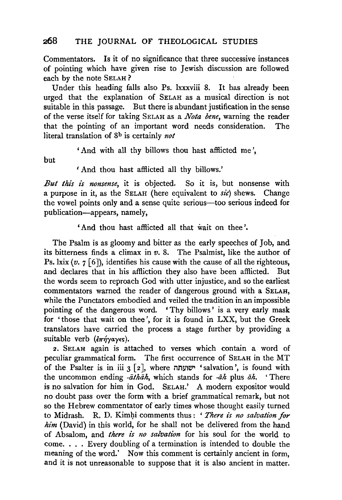Commentators. Is it of no significance that three successive instances of pointing which have given rise to Jewish discussion are followed each by the note SELAH ?

Under this heading falls also Ps. lxxxviii 8. It has already been urged that the explanation of SELAH as a musical direction is not suitable in this passage. But there is abundant justification in the sense of the verse itself for taking SELAH as a *Nota bene,* warning the reader that the pointing of an important word needs consideration. The literal translation of Sb is certainly *not* 

'And with all thy billows thou hast afflicted me',

but

' And thou hast afflicted all thy billows.'

*But this is nonsense,* it is objected. So it is, but nonsense with a purpose in it, as the SELAH (here equivalent to *sic)* shews. Change the vowel points only and a sense quite serious—too serious indeed for publication-appears, namely,

'And thou hast afflicted all that wait on thee'.

The Psalm is as gloomy and bitter as the early speeches of Job, and its bitterness finds a climax in  $v$ . 8. The Psalmist, like the author of Ps. lxix  $(v, 7 \mid 6)$ , identifies his cause with the cause of all the righteous, and declares that in his affliction they also have been afflicted. But the words seem to reproach God with utter injustice, and so the earliest commentators warned the reader of dangerous ground with a SELAH, while the Punctators embodied and veiled the tradition in an impossible pointing of the dangerous word. 'Thy billows' is a very early mask for 'those that wait on thee', for it is found in LXX, but the Greek translators have carried the process a stage further by providing a suitable verb  $(\epsilon \pi \eta \gamma \alpha \gamma \epsilon s)$ .

2. SELAH again is attached to verses which contain a word of peculiar grammatical form. The first occurrence of SELAH in the MT of the Psalter is in iii  $3 \lceil 2 \rceil$ , where ישועתה 'salvation', is found with the uncommon ending *-athah*, which stands for *-ah* plus *ah.* 'There is no salvation for him in God. SELAH.' A modern expositor would no doubt pass over the form with a brief grammatical remark, but not so the Hebrew commentator of early times whose thought easily turned to Midrash. R. D. Kimbi comments thus : ' *There is no salvation for him* (David) in this world, for he shall not be delivered from the hand of Absalom, and *there is 110 salvation* for his soul for the world to come. . . . Every doubling of a termination is intended to double the meaning of the word.' Now this comment is certainly ancient in form, and it is not unreasonable to suppose that it is also ancient in matter.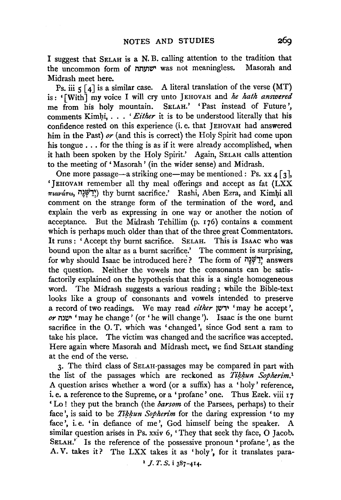I suggest that SELAH is a N. B. calling attention to the tradition that the uncommon form of ישועתה was not meaningless. Masorah and Midrash meet here.

Ps. iii  $5 \lceil 4 \rceil$  is a similar case. A literal translation of the verse (MT) is : ' [With J my voice I will cry unto J EHOV AH and *he hath answered*  me from his holy mountain. SELAH.' 'Past instead of Future', comments Kimhi, . . . ' *Either* it is to be understood literally that his confidence rested on this experience (i.e. that JEHOVAH had answered him in the Past) *or* (and this is correct) the Holy Spirit had come upon his tongue ... for the thing is as if it were already accomplished, when it bath been spoken by the Holy Spirit.' Again, SELAH calls attention to the meeting of' Masorah' (in the wider sense) and Midrash.

One more passage—a striking one—may be mentioned : Ps. xx 4 [3], 'JEHOVAH remember all thy meal offerings and accept as fat (LXX  $\pi$ .avá $\tau\omega$ , יִילְשְׁנֵה) thy burnt sacrifice.' Rashi, Aben Ezra, and Kimhi all comment on the strange form of the termination of the word, and explain the verb as expressing in one way or another the notion of acceptance. But the Midrash Tehillim (p. 176) contains a comment which is perhaps much older than that of the three great Commentators. It runs : 'Accept thy burnt sacrifice. SELAH. This is IsAAC who was bound upon the altar as a burnt sacrifice.' The comment is surprising, for why should Isaac be introduced here? The form of "יֲשָׂנָה" answers the question. Neither the vowels nor the consonants can be satisfactorily explained on the hypothesis that this is a single homogeneous word. The Midrash suggests a various reading ; while the Bible-text looks like a group of consonants and vowels intended to preserve a record of two readings. We may read *either* ~~,~ 'may he accept', *or* mw- 'may he change' (or 'he will change'). Isaac is the one burnt sacrifice in the 0. T. which was 'changed', since God sent a ram to take his place. The victim was changed and the sacrifice was accepted. Here again where Masorah and Midrash meet, we find SELAH standing at the end of the verse.

3· The third class of SELAH-passages may be compared in part with the list of the passages which are reckoned as *Tikkun* Sopherim.<sup>1</sup> A question arises whether a word (or a suffix) has a 'holy' reference, i. e. a reference to the Supreme, or a 'profane' one. Thus Ezek. viii 17 'Lo! they put the branch (the *barsom* of the Parsees, perhaps) to their face', is said to be *Tikkun Sopherim* for the daring expression 'to my face', i.e. 'in defiance of me', God himself being the speaker. A similar question arises in Ps. xxiv 6, 'They that seek thy face, 0 Jacob. SELAH.' Is the reference of the possessive pronoun 'profane', as the A. V. takes it? The LXX takes it as 'holy', for it translates para-

 $1 J. T. S. i 387 - 414.$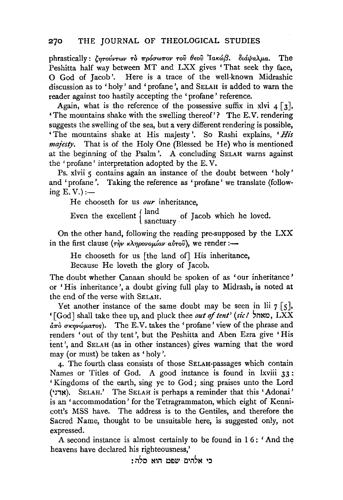### 270 THE JOURNAL OF THEOLOGICAL STUDIES

phrastically :  $\ell_{\eta\tau\sigma\psi\gamma\omega\gamma}$   $\tau$   $\phi$   $\pi\rho\phi\sigma\omega\pi\sigma\nu$   $\tau$  ov  $\theta\epsilon\sigma\hat{v}$  'lak $\omega\beta$ .  $\delta\iota\phi\alpha\lambda\mu\alpha$ . The Peshitta half way between MT and LXX gives 'That seek thy face, 0 God of Jacob '. Here is a trace of the well-known Midrashic discussion as to 'holy' and 'profane', and SELAH is added to warn the reader against too hastily accepting the 'profane' reference.

Again, what is the reference of the possessive suffix in xlvi  $4 \lceil 3 \rceil$ , 'The mountains shake with the swelling thereof'? The E. V. rendering suggests the swelling of the sea, but a very different rendering is possible, 'The mountains shake at His majesty'. So Rashi explains, *'Hi's majesty.* That is of the Holy One (Blessed be He) who is mentioned at the beginning of the Psalm'. A concluding SELAH warns against the 'profane' interpretation adopted by the E. V.

Ps. xlvii 5 contains again an instance of the doubt between 'holy' and 'profane'. Taking the reference as 'profane' we translate (following  $E. V.$ ):

He chooseth for us *our* inheritance,

Even the excellent  $\begin{cases} \text{land} \\ \text{santuary} \end{cases}$  of Jacob which he loved.

On the other hand, following the reading pre-supposed by the LXX in the first clause ( rqv KA'l'Jpovop.£av a~Tov), we render :-

He chooseth for us [the land of] His inheritance,

Because He loveth the glory of Jacob.

The doubt whether Canaan should be spoken of as 'our inheritance ' or 'His inheritance', a doubt giving full play to Midrash, is noted at the end of the verse with SELAH.

Yet another instance of the same doubt may be seen in  $\overline{\text{li}}$  7 [5], '[God] shall take thee up, and pluck thee *out of tent' (sic* I ~m~.oto, LXX  $\frac{\partial}{\partial x}$   $\sigma$   $\sigma$   $\sigma$   $\sigma$  $\mu$  $\sigma$   $\sigma$ s.). The E.V. takes the 'profane' view of the phrase and renders 'out of thy tent', but the Peshitta and Aben Ezra give 'His tent', and SELAH (as in other instances) gives warning that the word may (or must) be taken as 'holy'.

4· The fourth class consists of those SELAH-passages which contain Names or Titles of God. A good instance is found in lxviii 33 : ' Kingdoms of the earth, sing ye to God; sing praises unto the Lord (ארני). SELAH.' The SELAH is perhaps a reminder that this 'Adonai' is an 'accommodation' for the Tetragrammaton, which eight of Kenni· cott's MSS have. The address is to the Gentiles, and therefore the Sacred Name, thought to be unsuitable here, is suggested only, not expressed.

A second instance is almost certainly to be found in I 6: 'And the heavens have declared his righteousness,'

: כי אלהים שפט הוא סלה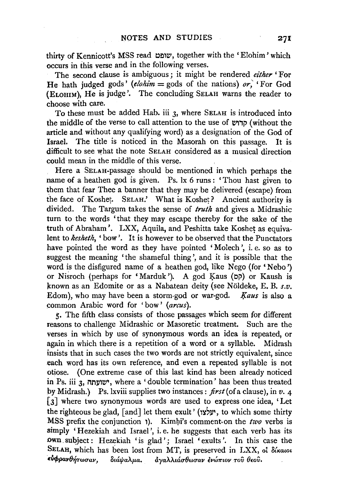thirty of Kennicott's MSS read שופט, together with the 'Elohim' which occurs in this verse and in the following verses.

The second clause is ambiguous; it might be rendered *either* 'For He hath judged gods' (elohim = gods of the nations) or, 'For God (ELOHIM), He is judge'. The concluding SELAH warns the reader to choose with care.

To these must be added Hab. iii 3, where SELAH is introduced into the middle of the verse to call attention to the use of  $\psi$ קרוש) (without the article and without any qualifying word) as a designation of the God of Israel. The title is noticed in the Masorah on this passage. It is difficult to see what the note SELAH considered as a musical direction could mean in the middle of this verse.

Here a SELAH-passage should be mentioned in which perhaps the name of a heathen god is given. Ps. lx 6 runs : 'Thou hast given to them that fear Thee a banner that they may be delivered (escape) from the face of Koshet. SELAH.' What is Koshet? Ancient authority is divided. The Targum takes the sense of *truth* and gives a Midrashic turn to the words 'that they may escape thereby for the sake of the truth of Abraham'. LXX, Aquila, and Peshitta take Koshet as equivalent to *kesheth*, 'bow'. It is however to be observed that the Punctators have pointed the word as they have pointed 'Molech', i.e. so as to suggest the meaning 'the shameful thing ', and it is possible that the word is the disfigured name of a heathen god, like Nego (for' Nebo ') or Nisroch (perhaps for 'Marduk'). A god Kaus (pp) or Kaush is known as an Edomite or as a Nabatean deity (see Nöldeke, E. B. s.v. Edom), who may have been a storm-god or war-god. *l{aus* is also a common Arabic word for 'bow' *(arcus).* 

S· The fifth class consists of those passages which seem for different reasons to challenge Midrashic or Masoretic treatment. Such are the verses in which by use of synonymous words an idea is repeated, or again in which there is a repetition of a word or a syllable. Midrash insists that in such cases the two words are not strictly equivalent, since each word has its own reference, and even a repeated syllable is not otiose. (One extreme case of this last kind has been already noticed in Ps. iii 3, ישועתה, where a 'double termination' has been thus treated by Midrash.) Ps.lxviii supplies two instances: *first* (of a clause), in *v.* 4 [3] where two synonymous words are used to express one idea, 'Let the righteous be glad,  $[$ and $]$  let them exult' (יעלצוי, to which some thirty MSS prefix the conjunction 1). Kimbi's comment on the *two* verbs is simply 'Hezekiah and Israel', i.e. he suggests that each verb has its own. subject: Hezekiah 'is glad'; Israel 'exults'. In this case the SELAH, which has been lost from MT, is preserved in LXX, of  $\delta$ *i* katot **εύφρανθήτωσαν,** διάψαλμα. *άγαλλιάσθωσαν ενώπιον του θεο*υ.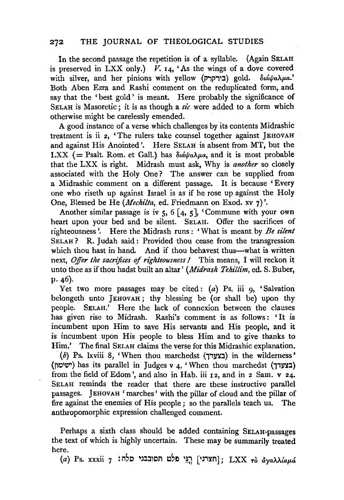## 272 THE JOURNAL OF THEOLOGICAL STUDIES

In the second passage the repetition is of a syllable. (Again SELAH is preserved in LXX only.)  $V.$  14, 'As the wings of a dove covered with silver, and her pinions with yellow (PiPi':l) gold. *8W.tf!a.Ap.a.'*  Both Aben Ezra and Rashi comment on the reduplicated form, and say that the 'best gold' is meant. Here probably the significance of SELAH is Masoretic; it is as though a  $sic$  were added to a form which otherwise might be carelessly emended.

A good instance of a verse which challenges by its contents Midrashic treatment is ii 2, 'The rulers take counsel together against JEHOVAH and against His Anointed'. Here SELAH is absent from MT, but the LXX ( $=$  Psalt. Rom. et Gall.) has  $\delta \omega \omega_a$  and it is most probable that the LXX is right. Midrash must ask, Why is *another* so closely associated with the Holy One? The answer can be supplied from a Midrashic comment on a different passage. It is because 'Every one who riseth up against Israel is as if he rose up against the Holy One, Blessed be He *(Mechilta,* ed. Friedmann on Exod. xv 7) '.

Another similar passage is iv  $5, 6 \lceil 4, 5 \rceil$ , 'Commune with your own heart upon your bed and be silent. SELAH. Offer the sacrifices of righteousness'. Here the Midrash runs : 'What is meant. by *Be silent*  SELAH ? R. Judah said : Provided thou cease from the transgression which thou hast in hand. And if thou behavest thus-what is written next, *Offer the sacrifices of righteousness I* This means, I will reckon it unto thee as if thou hadst built an altar' *(Midrash Tehillim,* ed. S. Buber, P· 46).

Yet two more passages may be cited:  $(a)$  Ps. iii  $\varphi$ , 'Salvation belongeth unto JEHOVAH; thy blessing be (or shall be) upon thy people. SELAH.' Here the lack of connexion between the clauses has given rise to Midrash. Rashi's comment is as follows : 'It is incumbent upon Him to save His servants and His people, and it is incumbent upon His people to bless Him and to give thanks to Him.' The final SELAH claims the verse for this Midrashic explanation.

 $(b)$  Ps. lxviii 8, 'When thou marchedst (בצעדר) in the wilderness' (וישימון) has its parallel in Judges v 4, 'When thou marchedst (בצערך) from the field of Edom', and also in Hab. iii  $12$ , and in 2 Sam. v 24. SELAH reminds the reader that there are these instructive parallel passages. JEHOVAH 'marches' with the pillar of cloud and the pillar of fire against the enemies of His people ; so the parallels teach us. The anthropomorphic expression challenged comment.

Perhaps a sixth class should be added containing SELAH-passages the text of which is highly uncertain. These may be summarily treated here.

(a) Ps. xxxii 7 : i1'0 ~J:l:non ~'El ·~~ ['Ji~M]; LXX *T6 &:yaU{ap.&.*